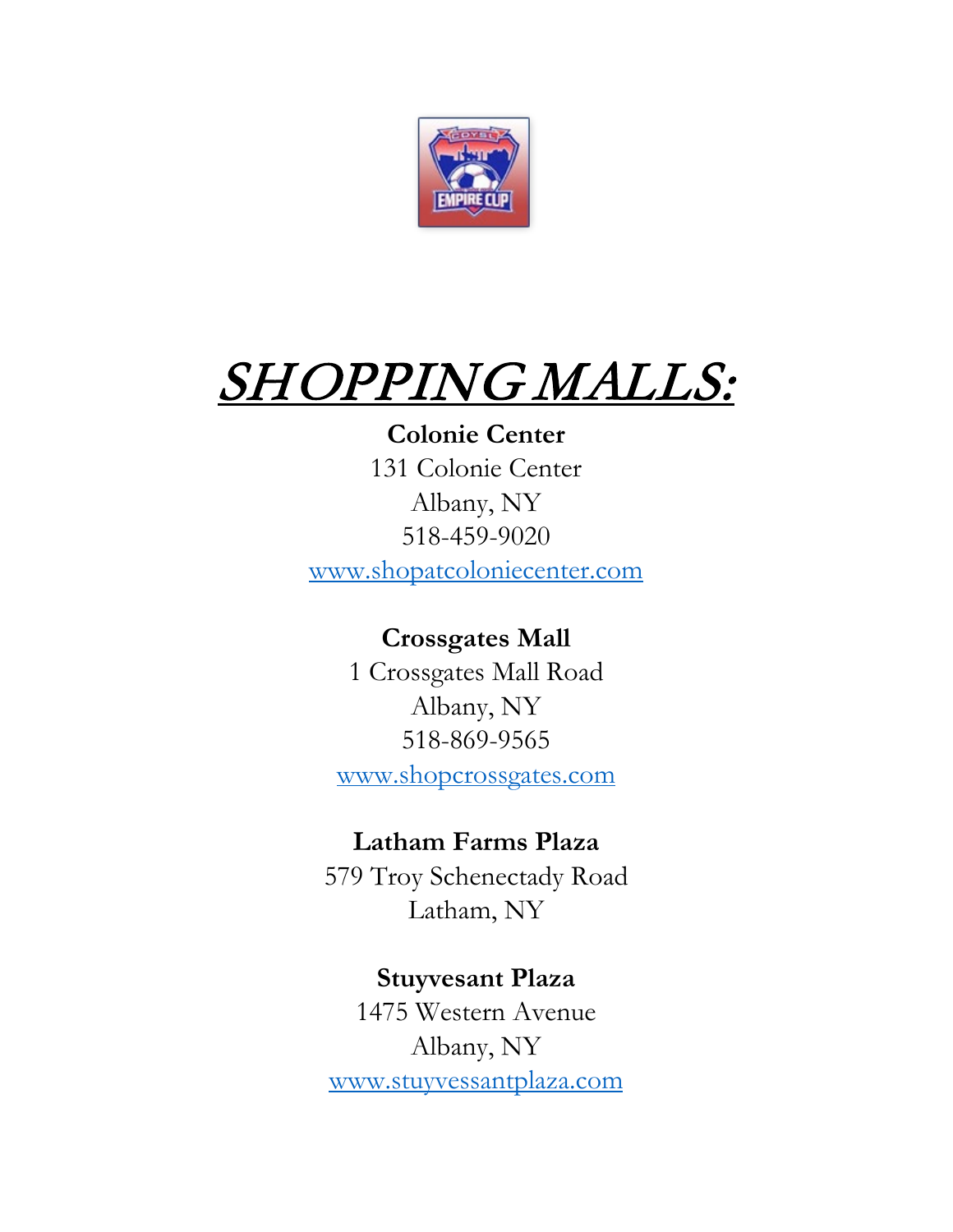

# SHOPPING MALLS:

# **Colonie Center**

131 Colonie Center Albany, NY 518-459-9020 [www.shopatcoloniecenter.com](http://www.shopatcoloniecenter.com/)

# **Crossgates Mall**

1 Crossgates Mall Road Albany, NY 518-869-9565 [www.shopcrossgates.com](http://www.shopcrossgates.com/)

## **Latham Farms Plaza**

579 Troy Schenectady Road Latham, NY

## **Stuyvesant Plaza**

1475 Western Avenue Albany, NY [www.stuyvessantplaza.com](http://www.stuyvessantplaza.com/)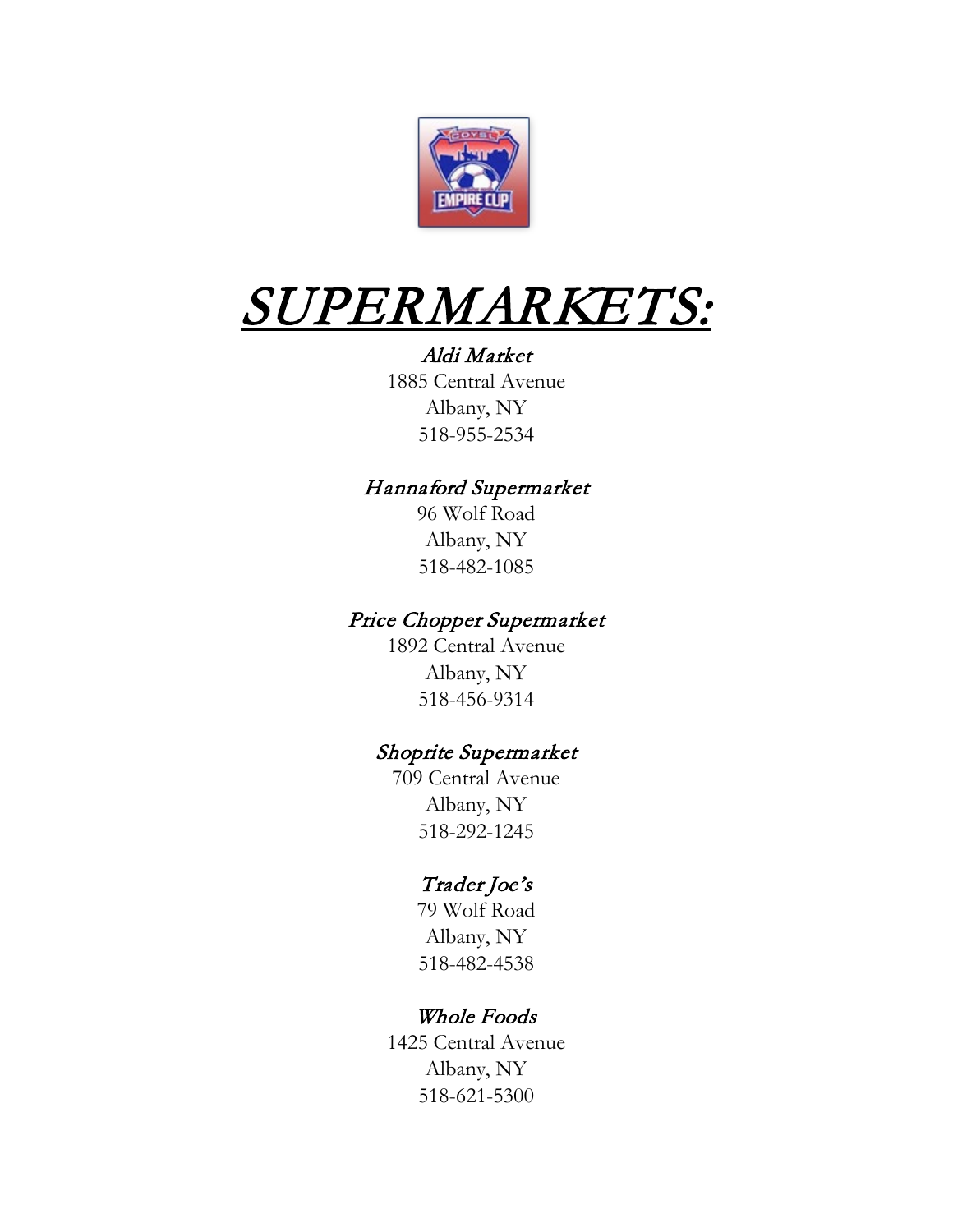

# $\frac{SUPERMARKETS:$ Aldi Market

1885 Central Avenue Albany, NY 518-955-2534

### Hannaford Supermarket

96 Wolf Road Albany, NY 518-482-1085

### Price Chopper Supermarket

1892 Central Avenue Albany, NY 518-456-9314

### Shoprite Supermarket

709 Central Avenue Albany, NY 518-292-1245

### Trader Joe's

79 Wolf Road Albany, NY 518-482-4538

### Whole Foods

1425 Central Avenue Albany, NY 518-621-5300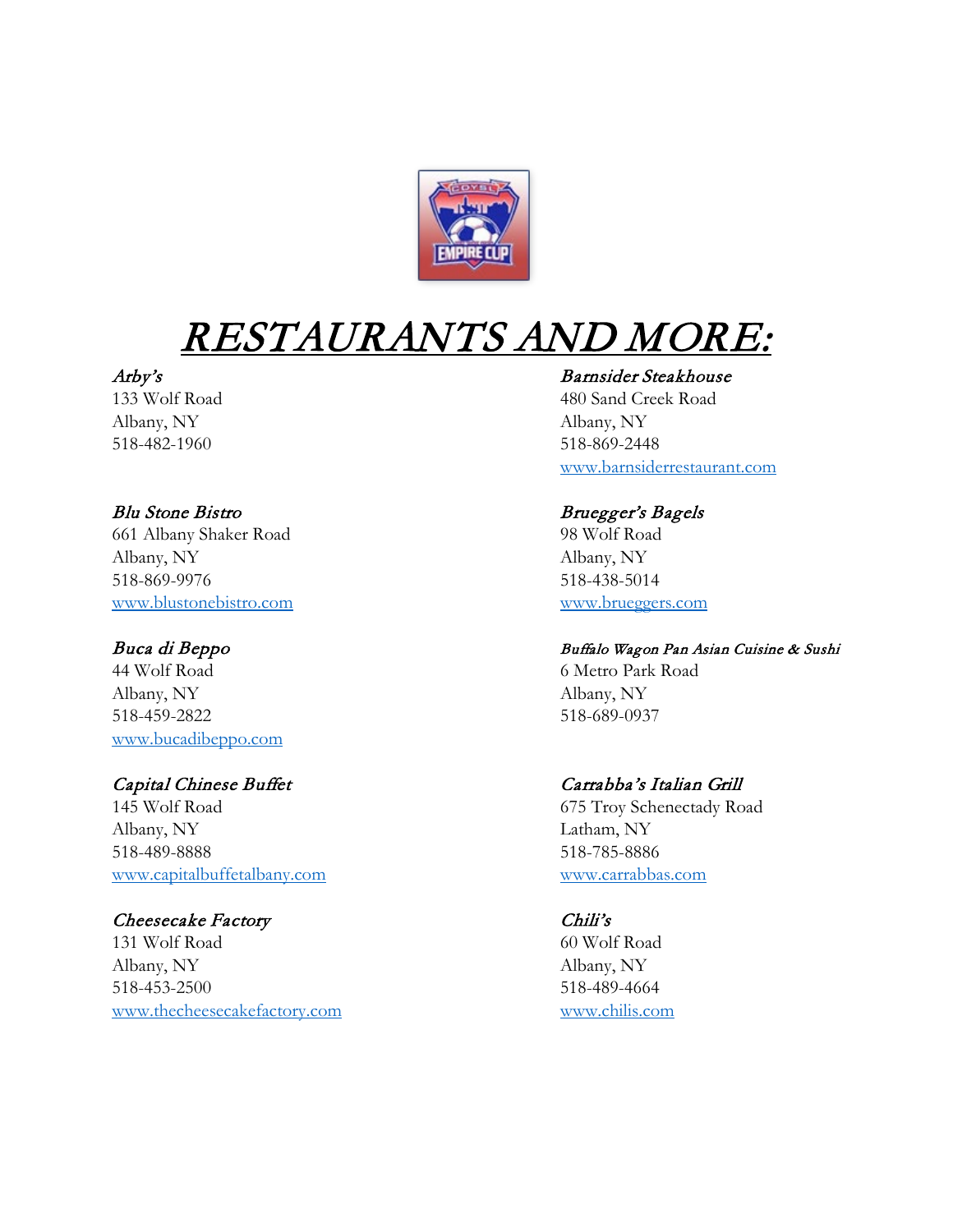

# RESTAURANTS AND MORE:

Albany, NY Albany, NY 518-482-1960 518-869-2448

### Blu Stone Bistro Bruegger's Bagels 661 Albany Shaker Road 98 Wolf Road Albany, NY Albany, NY 518-869-9976 518-438-5014 [www.blustonebistro.com](http://www.blustonebistro.com/) [www.brueggers.com](http://www.brueggers.com/)

44 Wolf Road 6 Metro Park Road Albany, NY Albany, NY 518-459-2822 518-689-0937 [www.bucadibeppo.com](http://www.bucadibeppo.com/)

145 Wolf Road 675 Troy Schenectady Road Albany, NY Latham, NY 518-489-8888 518-785-8886 [www.capitalbuffetalbany.com](http://www.capitalbuffetalbany.com/) [www.carrabbas.com](http://www.carrabbas.com/)

### Cheesecake Factory Chili's

131 Wolf Road 60 Wolf Road Albany, NY Albany, NY 518-453-2500 518-489-4664 [www.thecheesecakefactory.com](http://www.thecheesecakefactory.com/) [www.chilis.com](http://www.chilis.com/)

### Arby's Barnsider Steakhouse

133 Wolf Road 480 Sand Creek Road [www.barnsiderrestaurant.com](http://www.barnsiderrestaurant.com/)

### Buca di Beppo Buffalo Wagon Pan Asian Cuisine & Sushi

### Capital Chinese Buffet Carrabba's Italian Grill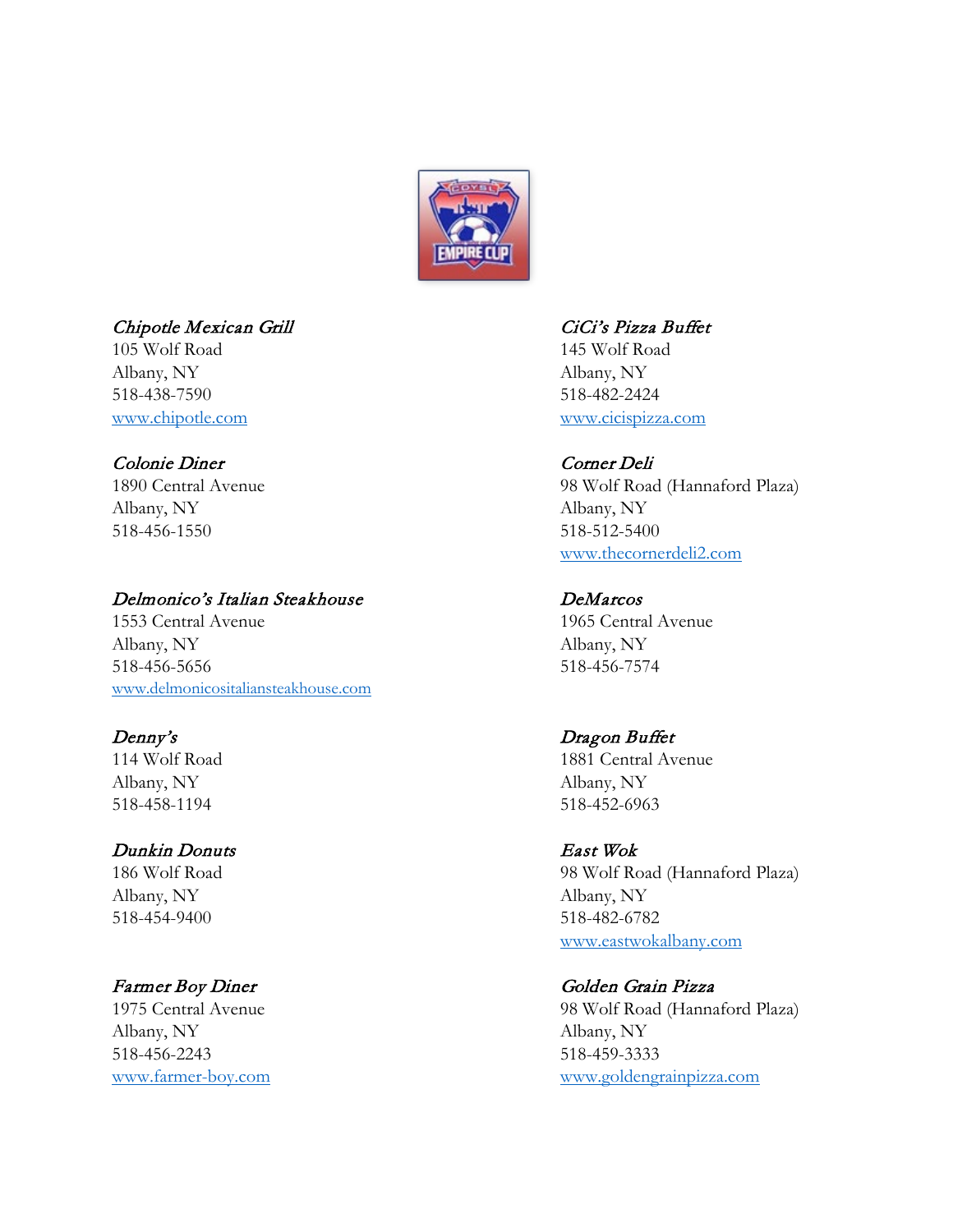

### Chipotle Mexican Grill CiCi's Pizza Buffet

105 Wolf Road 145 Wolf Road Albany, NY Albany, NY 518-438-7590 518-482-2424

### Colonie Diner Corner Deli

Albany, NY Albany, NY 518-456-1550 518-512-5400

### Delmonico's Italian Steakhouse DeMarcos

1553 Central Avenue 1965 Central Avenue Albany, NY Albany, NY 518-456-5656 518-456-7574 [www.delmonicositaliansteakhouse.com](http://www.delmonicositaliansteakhouse.com/)

114 Wolf Road 1881 Central Avenue Albany, NY Albany, NY 518-458-1194 518-452-6963

### Dunkin Donuts East Wok

Albany, NY Albany, NY 518-454-9400 518-482-6782

Albany, NY Albany, NY 518-456-2243 518-459-3333

[www.chipotle.com](http://www.chipotle.com/) [www.cicispizza.com](http://www.cicispizza.com/)

1890 Central Avenue 98 Wolf Road (Hannaford Plaza) [www.thecornerdeli2.com](http://www.thecornerdeli2.com/)

# Denny's Dragon Buffet

186 Wolf Road 98 Wolf Road (Hannaford Plaza) [www.eastwokalbany.com](http://www.eastwokalbany.com/)

### Farmer Boy Diner Golden Grain Pizza

1975 Central Avenue 98 Wolf Road (Hannaford Plaza) [www.farmer-boy.com](http://www.farmer-boy.com/) [www.goldengrainpizza.com](http://www.goldengrainpizza.com/)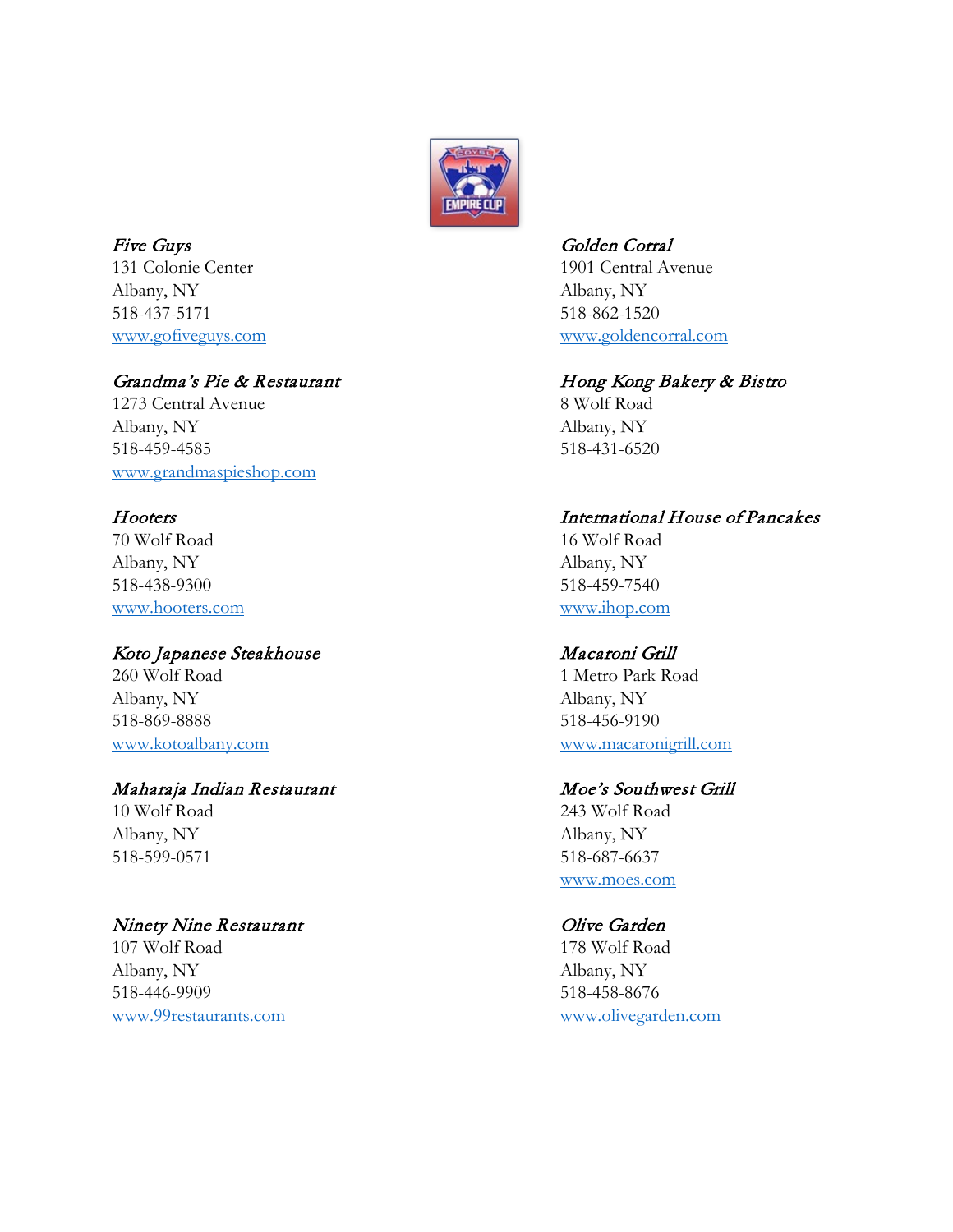

Five Guys Golden Corral 131 Colonie Center 1901 Central Avenue Albany, NY Albany, NY 518-437-5171 518-862-1520

### Grandma's Pie & Restaurant Hong Kong Bakery & Bistro

1273 Central Avenue 8 Wolf Road Albany, NY Albany, NY 518-459-4585 518-431-6520 [www.grandmaspieshop.com](http://www.grandmaspieshop.com/)

70 Wolf Road 16 Wolf Road Albany, NY Albany, NY 518-438-9300 518-459-7540 [www.hooters.com](http://www.hooters.com/) [www.ihop.com](http://www.ihop.com/)

### Koto Japanese Steakhouse Macaroni Grill

260 Wolf Road 1 Metro Park Road Albany, NY Albany, NY 518-869-8888 518-456-9190

### Maharaja Indian Restaurant Moe's Southwest Grill

Albany, NY Albany, NY 518-599-0571 518-687-6637

### Ninety Nine Restaurant Clive Garden

107 Wolf Road 178 Wolf Road Albany, NY Albany, NY 518-446-9909 518-458-8676 [www.99restaurants.com](http://www.99restaurants.com/) [www.olivegarden.com](http://www.olivegarden.com/)

[www.gofiveguys.com](http://www.gofiveguys.com/) [www.goldencorral.com](http://www.goldencorral.com/)

### Hooters International House of Pancakes

[www.kotoalbany.com](http://www.kotoalbany.com/) [www.macaronigrill.com](http://www.macaronigrill.com/)

10 Wolf Road 243 Wolf Road [www.moes.com](http://www.moes.com/)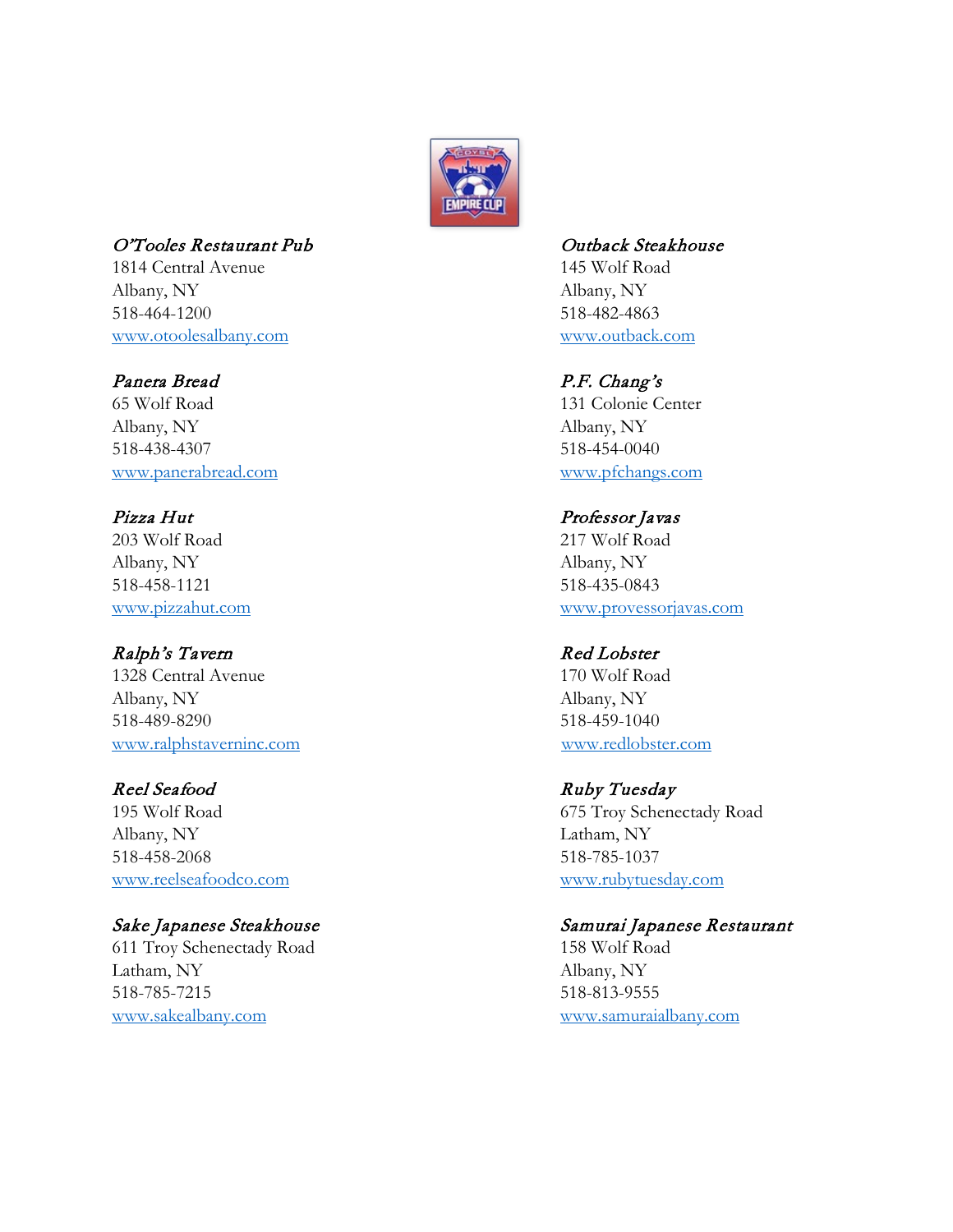

### O'Tooles Restaurant Pub Contract Contract Contract Contract Contract Contract Contract Contract Contract Contract Contract Contract Contract Contract Contract Contract Contract Contract Contract Contract Contract Contract

1814 Central Avenue 145 Wolf Road Albany, NY Albany, NY 518-464-1200 518-482-4863 [www.otoolesalbany.com](http://www.otoolesalbany.com/) [www.outback.com](http://www.outback.com/)

### Panera Bread P.F. Chang's

65 Wolf Road 131 Colonie Center Albany, NY Albany, NY 518-438-4307 518-454-0040 [www.panerabread.com](http://www.panerabread.com/) [www.pfchangs.com](http://www.pfchangs.com/)

Pizza Hut Professor Javas 203 Wolf Road 217 Wolf Road Albany, NY Albany, NY 518-458-1121 518-435-0843

### Ralph's Tavern Red Lobster

1328 Central Avenue 170 Wolf Road Albany, NY Albany, NY 518-489-8290 518-459-1040 [www.ralphstaverninc.com](http://www.ralphstaverninc.com/) [www.redlobster.com](http://www.redlobster.com/)

Albany, NY Latham, NY 518-458-2068 518-785-1037 [www.reelseafoodco.com](http://www.reelseafoodco.com/) [www.rubytuesday.com](http://www.rubytuesday.com/)

611 Troy Schenectady Road 158 Wolf Road Latham, NY Albany, NY 518-785-7215 518-813-9555 [www.sakealbany.com](http://www.sakealbany.com/) [www.samuraialbany.com](http://www.samuraialbany.com/)

[www.pizzahut.com](http://www.pizzahut.com/) [www.provessorjavas.com](http://www.provessorjavas.com/)

### Reel Seafood Ruby Tuesday

195 Wolf Road 675 Troy Schenectady Road

### Sake Japanese Steakhouse Samurai Japanese Restaurant